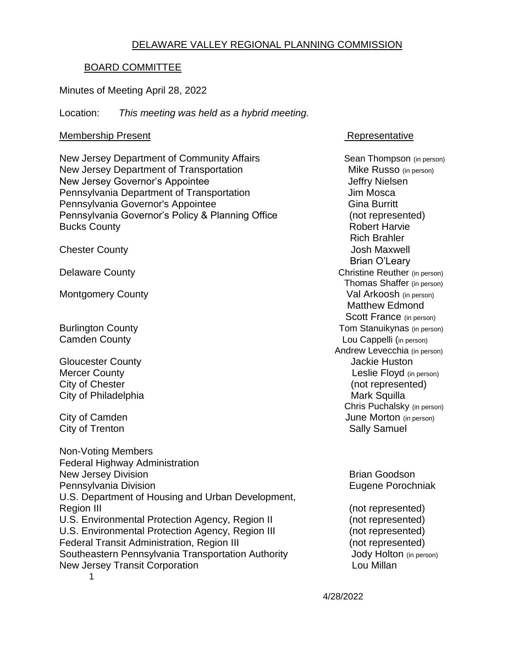#### DELAWARE VALLEY REGIONAL PLANNING COMMISSION

#### BOARD COMMITTEE

#### Minutes of Meeting April 28, 2022

Location: *This meeting was held as a hybrid meeting.*

#### Membership Present **Representative**

New Jersey Department of Community Affairs Sean Thompson (in person) New Jersey Department of Transportation Mike Russo (in person) New Jersey Governor's Appointee Jeffry Nielsen Pennsylvania Department of Transportation The Controller Sum Mosca Pennsylvania Governor's Appointee Gina Burritt Gina Burritt Pennsylvania Governor's Policy & Planning Office (not represented) Bucks County **Bucks** County **Robert Harvie Robert Harvie** 

Gloucester County **Gloucester County Jackie Huston** City of Chester (not represented) City of Philadelphia **Mark Squilla** Mark Squilla

City of Trenton City of Trenton Sally Samuel

1 Non-Voting Members Federal Highway Administration New Jersey Division **Brian Goodson** Brian Goodson Pennsylvania Division **Eugene Porochniak** U.S. Department of Housing and Urban Development, Region III (not represented) U.S. Environmental Protection Agency, Region II (not represented)<br>U.S. Environmental Protection Agency, Region III (not represented) U.S. Environmental Protection Agency, Region III Federal Transit Administration, Region III (not represented) Southeastern Pennsylvania Transportation Authority **Southeastern Pennsylvania Transportation Authority** Jody Holton (in person) New Jersey Transit Corporation **Louis Communisty** Lou Millan

 Rich Brahler **Chester County Chester County Chester County Josh Maxwell**  Brian O'Leary Delaware County Christian County Christian Christian Christian Christian Christian Christian Christian Christian Christian Christian Christian Christian Christian Christian Christian Christian Christian Christian Christian Thomas Shaffer (in person) Montgomery County **Val Arkoosh** (in person) Matthew Edmond Scott France (in person) Burlington County **Burlington County Tom Stanuikynas** (in person) Camden County **Cambridge County** Cambridge Cambridge Cambridge County Lou Cappelli (in person) Andrew Levecchia (in person) Mercer County **County Mercer County Leslie Floyd** (in person) Chris Puchalsky (in person) City of Camden **Games City of Camden** June Morton (in person)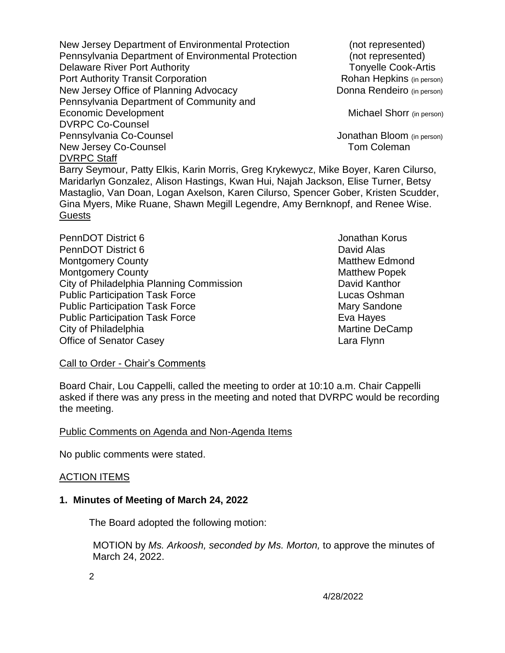New Jersey Department of Environmental Protection (not represented) Pennsylvania Department of Environmental Protection (not represented) Delaware River Port Authority Tonyelle Cook-Artis Port Authority Transit Corporation **Rohan Hepkins** (in person) New Jersey Office of Planning Advocacy Donna Rendeiro (in person) Pennsylvania Department of Community and Economic Development Michael Shorr (in person) DVRPC Co-Counsel Pennsylvania Co-Counsel **Victor** Communication of the United States of Constantine Communication of the Pennsylvania New Jersey Co-Counsel **New Jersey Co-Counsel** DVRPC Staff

Barry Seymour, Patty Elkis, Karin Morris, Greg Krykewycz, Mike Boyer, Karen Cilurso, Maridarlyn Gonzalez, Alison Hastings, Kwan Hui, Najah Jackson, Elise Turner, Betsy Mastaglio, Van Doan, Logan Axelson, Karen Cilurso, Spencer Gober, Kristen Scudder, Gina Myers, Mike Ruane, Shawn Megill Legendre, Amy Bernknopf, and Renee Wise. Guests

PennDOT District 6 **Jonathan Korus Jonathan Korus** PennDOT District 6 **David Alas** Montgomery County **Matthew Edmond** Montgomery County **Matthew Popek** Matthew Popek City of Philadelphia Planning Commission David Kanthor Public Participation Task Force Lucas Oshman Public Participation Task Force Mary Sandone Public Participation Task Force **Eva Hayes** Eva Hayes City of Philadelphia Martine DeCamp Office of Senator Casey **Lara Flynn** 

Call to Order - Chair's Comments

Board Chair, Lou Cappelli, called the meeting to order at 10:10 a.m. Chair Cappelli asked if there was any press in the meeting and noted that DVRPC would be recording the meeting.

#### Public Comments on Agenda and Non-Agenda Items

No public comments were stated.

#### ACTION ITEMS

#### **1. Minutes of Meeting of March 24, 2022**

The Board adopted the following motion:

 MOTION by *Ms. Arkoosh, seconded by Ms. Morton,* to approve the minutes of March 24, 2022.

2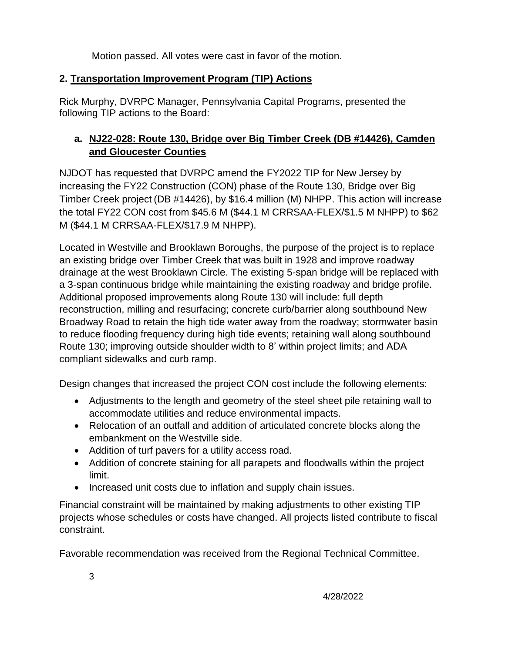Motion passed. All votes were cast in favor of the motion.

# **2. Transportation Improvement Program (TIP) Actions**

Rick Murphy, DVRPC Manager, Pennsylvania Capital Programs, presented the following TIP actions to the Board:

# **a. NJ22-028: Route 130, Bridge over Big Timber Creek (DB #14426), Camden and Gloucester Counties**

NJDOT has requested that DVRPC amend the FY2022 TIP for New Jersey by increasing the FY22 Construction (CON) phase of the Route 130, Bridge over Big Timber Creek project (DB #14426), by \$16.4 million (M) NHPP. This action will increase the total FY22 CON cost from \$45.6 M (\$44.1 M CRRSAA-FLEX/\$1.5 M NHPP) to \$62 M (\$44.1 M CRRSAA-FLEX/\$17.9 M NHPP).

Located in Westville and Brooklawn Boroughs, the purpose of the project is to replace an existing bridge over Timber Creek that was built in 1928 and improve roadway drainage at the west Brooklawn Circle. The existing 5-span bridge will be replaced with a 3-span continuous bridge while maintaining the existing roadway and bridge profile. Additional proposed improvements along Route 130 will include: full depth reconstruction, milling and resurfacing; concrete curb/barrier along southbound New Broadway Road to retain the high tide water away from the roadway; stormwater basin to reduce flooding frequency during high tide events; retaining wall along southbound Route 130; improving outside shoulder width to 8' within project limits; and ADA compliant sidewalks and curb ramp.

Design changes that increased the project CON cost include the following elements:

- Adjustments to the length and geometry of the steel sheet pile retaining wall to accommodate utilities and reduce environmental impacts.
- Relocation of an outfall and addition of articulated concrete blocks along the embankment on the Westville side.
- Addition of turf pavers for a utility access road.
- Addition of concrete staining for all parapets and floodwalls within the project limit.
- Increased unit costs due to inflation and supply chain issues.

Financial constraint will be maintained by making adjustments to other existing TIP projects whose schedules or costs have changed. All projects listed contribute to fiscal constraint.

Favorable recommendation was received from the Regional Technical Committee.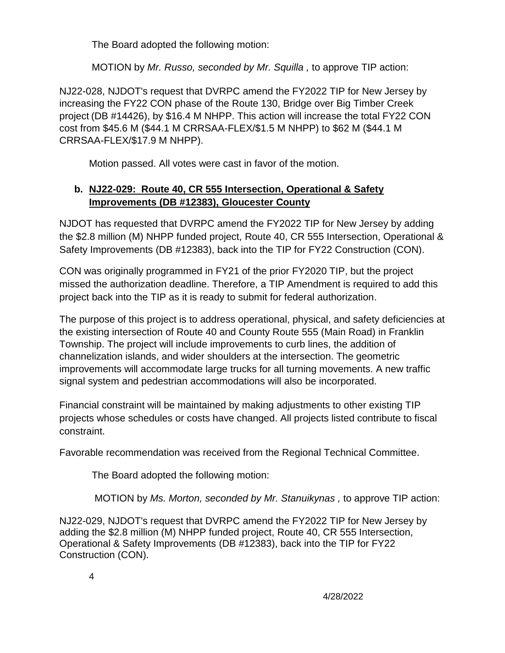The Board adopted the following motion:

MOTION by *Mr. Russo, seconded by Mr. Squilla ,* to approve TIP action:

NJ22-028, NJDOT's request that DVRPC amend the FY2022 TIP for New Jersey by increasing the FY22 CON phase of the Route 130, Bridge over Big Timber Creek project (DB #14426), by \$16.4 M NHPP. This action will increase the total FY22 CON cost from \$45.6 M (\$44.1 M CRRSAA-FLEX/\$1.5 M NHPP) to \$62 M (\$44.1 M CRRSAA-FLEX/\$17.9 M NHPP).

Motion passed. All votes were cast in favor of the motion.

# **b. NJ22-029: Route 40, CR 555 Intersection, Operational & Safety Improvements (DB #12383), Gloucester County**

NJDOT has requested that DVRPC amend the FY2022 TIP for New Jersey by adding the \$2.8 million (M) NHPP funded project, Route 40, CR 555 Intersection, Operational & Safety Improvements (DB #12383), back into the TIP for FY22 Construction (CON).

CON was originally programmed in FY21 of the prior FY2020 TIP, but the project missed the authorization deadline. Therefore, a TIP Amendment is required to add this project back into the TIP as it is ready to submit for federal authorization.

The purpose of this project is to address operational, physical, and safety deficiencies at the existing intersection of Route 40 and County Route 555 (Main Road) in Franklin Township. The project will include improvements to curb lines, the addition of channelization islands, and wider shoulders at the intersection. The geometric improvements will accommodate large trucks for all turning movements. A new traffic signal system and pedestrian accommodations will also be incorporated.

Financial constraint will be maintained by making adjustments to other existing TIP projects whose schedules or costs have changed. All projects listed contribute to fiscal constraint.

Favorable recommendation was received from the Regional Technical Committee.

The Board adopted the following motion:

MOTION by *Ms. Morton, seconded by Mr. Stanuikynas ,* to approve TIP action:

NJ22-029, NJDOT's request that DVRPC amend the FY2022 TIP for New Jersey by adding the \$2.8 million (M) NHPP funded project, Route 40, CR 555 Intersection, Operational & Safety Improvements (DB #12383), back into the TIP for FY22 Construction (CON).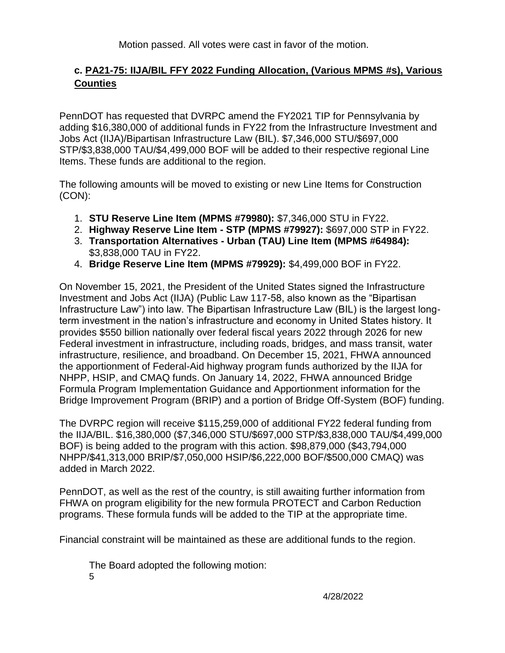Motion passed. All votes were cast in favor of the motion.

# **c. PA21-75: IIJA/BIL FFY 2022 Funding Allocation, (Various MPMS #s), Various Counties**

PennDOT has requested that DVRPC amend the FY2021 TIP for Pennsylvania by adding \$16,380,000 of additional funds in FY22 from the Infrastructure Investment and Jobs Act (IIJA)/Bipartisan Infrastructure Law (BIL). \$7,346,000 STU/\$697,000 STP/\$3,838,000 TAU/\$4,499,000 BOF will be added to their respective regional Line Items. These funds are additional to the region.

The following amounts will be moved to existing or new Line Items for Construction (CON):

- 1. **STU Reserve Line Item (MPMS #79980):** \$7,346,000 STU in FY22.
- 2. **Highway Reserve Line Item - STP (MPMS #79927):** \$697,000 STP in FY22.
- 3. **Transportation Alternatives - Urban (TAU) Line Item (MPMS #64984):** \$3,838,000 TAU in FY22.
- 4. **Bridge Reserve Line Item (MPMS #79929):** \$4,499,000 BOF in FY22.

On November 15, 2021, the President of the United States signed the Infrastructure Investment and Jobs Act (IIJA) (Public Law 117-58, also known as the "Bipartisan Infrastructure Law") into law. The Bipartisan Infrastructure Law (BIL) is the largest longterm investment in the nation's infrastructure and economy in United States history. It provides \$550 billion nationally over federal fiscal years 2022 through 2026 for new Federal investment in infrastructure, including roads, bridges, and mass transit, water infrastructure, resilience, and broadband. On December 15, 2021, FHWA announced the apportionment of Federal-Aid highway program funds authorized by the IIJA for NHPP, HSIP, and CMAQ funds. On January 14, 2022, FHWA announced Bridge Formula Program Implementation Guidance and Apportionment information for the Bridge Improvement Program (BRIP) and a portion of Bridge Off-System (BOF) funding.

The DVRPC region will receive \$115,259,000 of additional FY22 federal funding from the IIJA/BIL. \$16,380,000 (\$7,346,000 STU/\$697,000 STP/\$3,838,000 TAU/\$4,499,000 BOF) is being added to the program with this action. \$98,879,000 (\$43,794,000 NHPP/\$41,313,000 BRIP/\$7,050,000 HSIP/\$6,222,000 BOF/\$500,000 CMAQ) was added in March 2022.

PennDOT, as well as the rest of the country, is still awaiting further information from FHWA on program eligibility for the new formula PROTECT and Carbon Reduction programs. These formula funds will be added to the TIP at the appropriate time.

Financial constraint will be maintained as these are additional funds to the region.

5 The Board adopted the following motion: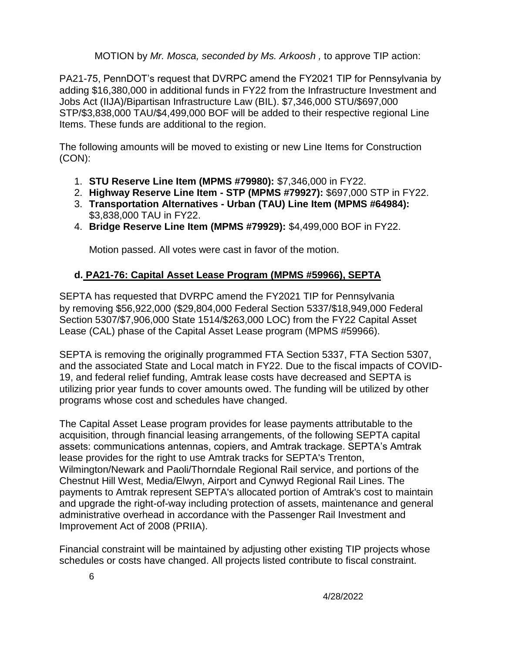MOTION by *Mr. Mosca, seconded by Ms. Arkoosh ,* to approve TIP action:

PA21-75, PennDOT's request that DVRPC amend the FY2021 TIP for Pennsylvania by adding \$16,380,000 in additional funds in FY22 from the Infrastructure Investment and Jobs Act (IIJA)/Bipartisan Infrastructure Law (BIL). \$7,346,000 STU/\$697,000 STP/\$3,838,000 TAU/\$4,499,000 BOF will be added to their respective regional Line Items. These funds are additional to the region.

The following amounts will be moved to existing or new Line Items for Construction (CON):

- 1. **STU Reserve Line Item (MPMS #79980):** \$7,346,000 in FY22.
- 2. **Highway Reserve Line Item - STP (MPMS #79927):** \$697,000 STP in FY22.
- 3. **Transportation Alternatives - Urban (TAU) Line Item (MPMS #64984):** \$3,838,000 TAU in FY22.
- 4. **Bridge Reserve Line Item (MPMS #79929):** \$4,499,000 BOF in FY22.

Motion passed. All votes were cast in favor of the motion.

# **d. PA21-76: Capital Asset Lease Program (MPMS #59966), SEPTA**

SEPTA has requested that DVRPC amend the FY2021 TIP for Pennsylvania by removing \$56,922,000 (\$29,804,000 Federal Section 5337/\$18,949,000 Federal Section 5307/\$7,906,000 State 1514/\$263,000 LOC) from the FY22 Capital Asset Lease (CAL) phase of the Capital Asset Lease program (MPMS #59966).

SEPTA is removing the originally programmed FTA Section 5337, FTA Section 5307, and the associated State and Local match in FY22. Due to the fiscal impacts of COVID-19, and federal relief funding, Amtrak lease costs have decreased and SEPTA is utilizing prior year funds to cover amounts owed. The funding will be utilized by other programs whose cost and schedules have changed.

The Capital Asset Lease program provides for lease payments attributable to the acquisition, through financial leasing arrangements, of the following SEPTA capital assets: communications antennas, copiers, and Amtrak trackage. SEPTA's Amtrak lease provides for the right to use Amtrak tracks for SEPTA's Trenton, Wilmington/Newark and Paoli/Thorndale Regional Rail service, and portions of the Chestnut Hill West, Media/Elwyn, Airport and Cynwyd Regional Rail Lines. The payments to Amtrak represent SEPTA's allocated portion of Amtrak's cost to maintain and upgrade the right-of-way including protection of assets, maintenance and general administrative overhead in accordance with the Passenger Rail Investment and Improvement Act of 2008 (PRIIA).

Financial constraint will be maintained by adjusting other existing TIP projects whose schedules or costs have changed. All projects listed contribute to fiscal constraint.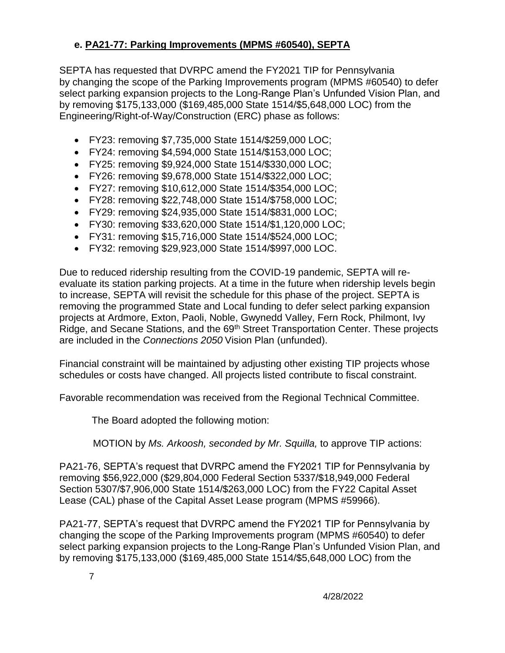## **e. PA21-77: Parking Improvements (MPMS #60540), SEPTA**

SEPTA has requested that DVRPC amend the FY2021 TIP for Pennsylvania by changing the scope of the Parking Improvements program (MPMS #60540) to defer select parking expansion projects to the Long-Range Plan's Unfunded Vision Plan, and by removing \$175,133,000 (\$169,485,000 State 1514/\$5,648,000 LOC) from the Engineering/Right-of-Way/Construction (ERC) phase as follows:

- FY23: removing \$7,735,000 State 1514/\$259,000 LOC;
- FY24: removing \$4,594,000 State 1514/\$153,000 LOC;
- FY25: removing \$9,924,000 State 1514/\$330,000 LOC;
- FY26: removing \$9,678,000 State 1514/\$322,000 LOC;
- FY27: removing \$10,612,000 State 1514/\$354,000 LOC;
- FY28: removing \$22,748,000 State 1514/\$758,000 LOC;
- FY29: removing \$24,935,000 State 1514/\$831,000 LOC;
- FY30: removing \$33,620,000 State 1514/\$1,120,000 LOC;
- FY31: removing \$15,716,000 State 1514/\$524,000 LOC;
- FY32: removing \$29,923,000 State 1514/\$997,000 LOC.

Due to reduced ridership resulting from the COVID-19 pandemic, SEPTA will reevaluate its station parking projects. At a time in the future when ridership levels begin to increase, SEPTA will revisit the schedule for this phase of the project. SEPTA is removing the programmed State and Local funding to defer select parking expansion projects at Ardmore, Exton, Paoli, Noble, Gwynedd Valley, Fern Rock, Philmont, Ivy Ridge, and Secane Stations, and the 69<sup>th</sup> Street Transportation Center. These projects are included in the *Connections 2050* Vision Plan (unfunded).

Financial constraint will be maintained by adjusting other existing TIP projects whose schedules or costs have changed. All projects listed contribute to fiscal constraint.

Favorable recommendation was received from the Regional Technical Committee.

The Board adopted the following motion:

MOTION by *Ms. Arkoosh, seconded by Mr. Squilla,* to approve TIP actions:

PA21-76, SEPTA's request that DVRPC amend the FY2021 TIP for Pennsylvania by removing \$56,922,000 (\$29,804,000 Federal Section 5337/\$18,949,000 Federal Section 5307/\$7,906,000 State 1514/\$263,000 LOC) from the FY22 Capital Asset Lease (CAL) phase of the Capital Asset Lease program (MPMS #59966).

PA21-77, SEPTA's request that DVRPC amend the FY2021 TIP for Pennsylvania by changing the scope of the Parking Improvements program (MPMS #60540) to defer select parking expansion projects to the Long-Range Plan's Unfunded Vision Plan, and by removing \$175,133,000 (\$169,485,000 State 1514/\$5,648,000 LOC) from the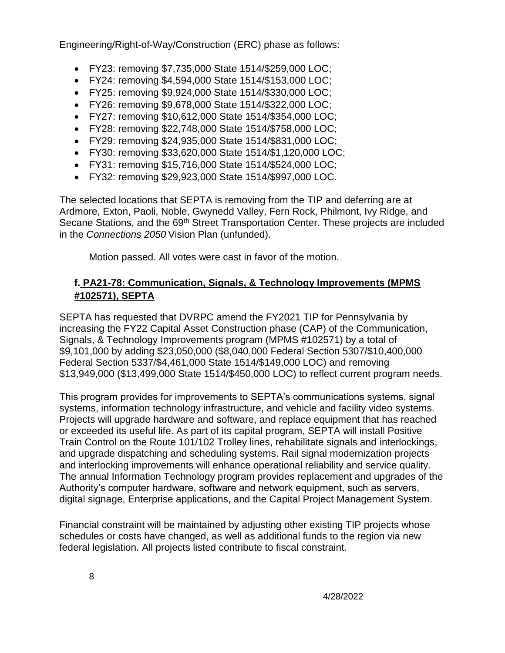Engineering/Right-of-Way/Construction (ERC) phase as follows:

- FY23: removing \$7,735,000 State 1514/\$259,000 LOC;
- FY24: removing \$4,594,000 State 1514/\$153,000 LOC;
- FY25: removing \$9,924,000 State 1514/\$330,000 LOC;
- FY26: removing \$9,678,000 State 1514/\$322,000 LOC;
- FY27: removing \$10,612,000 State 1514/\$354,000 LOC;
- FY28: removing \$22,748,000 State 1514/\$758,000 LOC;
- FY29: removing \$24,935,000 State 1514/\$831,000 LOC;
- FY30: removing \$33,620,000 State 1514/\$1,120,000 LOC;
- FY31: removing \$15,716,000 State 1514/\$524,000 LOC;
- FY32: removing \$29,923,000 State 1514/\$997,000 LOC.

The selected locations that SEPTA is removing from the TIP and deferring are at Ardmore, Exton, Paoli, Noble, Gwynedd Valley, Fern Rock, Philmont, Ivy Ridge, and Secane Stations, and the 69<sup>th</sup> Street Transportation Center. These projects are included in the *Connections 2050* Vision Plan (unfunded).

Motion passed. All votes were cast in favor of the motion.

## **f. PA21-78: Communication, Signals, & Technology Improvements (MPMS #102571), SEPTA**

SEPTA has requested that DVRPC amend the FY2021 TIP for Pennsylvania by increasing the FY22 Capital Asset Construction phase (CAP) of the Communication, Signals, & Technology Improvements program (MPMS #102571) by a total of \$9,101,000 by adding \$23,050,000 (\$8,040,000 Federal Section 5307/\$10,400,000 Federal Section 5337/\$4,461,000 State 1514/\$149,000 LOC) and removing \$13,949,000 (\$13,499,000 State 1514/\$450,000 LOC) to reflect current program needs.

This program provides for improvements to SEPTA's communications systems, signal systems, information technology infrastructure, and vehicle and facility video systems. Projects will upgrade hardware and software, and replace equipment that has reached or exceeded its useful life. As part of its capital program, SEPTA will install Positive Train Control on the Route 101/102 Trolley lines, rehabilitate signals and interlockings, and upgrade dispatching and scheduling systems. Rail signal modernization projects and interlocking improvements will enhance operational reliability and service quality. The annual Information Technology program provides replacement and upgrades of the Authority's computer hardware, software and network equipment, such as servers, digital signage, Enterprise applications, and the Capital Project Management System.

Financial constraint will be maintained by adjusting other existing TIP projects whose schedules or costs have changed, as well as additional funds to the region via new federal legislation. All projects listed contribute to fiscal constraint.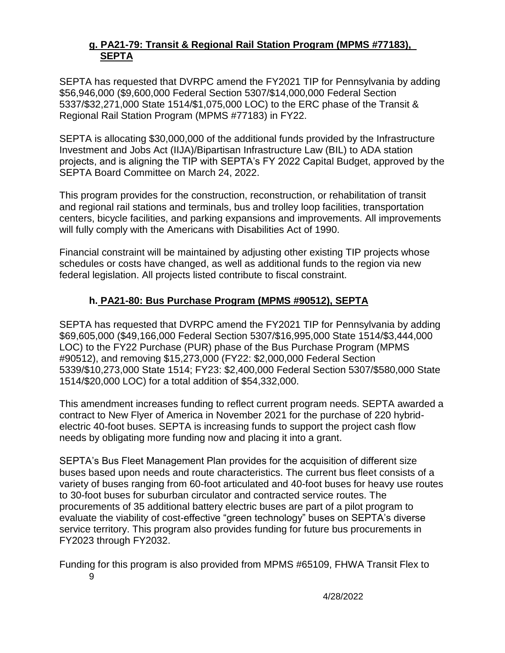#### **g. PA21-79: Transit & Regional Rail Station Program (MPMS #77183), SEPTA**

SEPTA has requested that DVRPC amend the FY2021 TIP for Pennsylvania by adding \$56,946,000 (\$9,600,000 Federal Section 5307/\$14,000,000 Federal Section 5337/\$32,271,000 State 1514/\$1,075,000 LOC) to the ERC phase of the Transit & Regional Rail Station Program (MPMS #77183) in FY22.

SEPTA is allocating \$30,000,000 of the additional funds provided by the Infrastructure Investment and Jobs Act (IIJA)/Bipartisan Infrastructure Law (BIL) to ADA station projects, and is aligning the TIP with SEPTA's FY 2022 Capital Budget, approved by the SEPTA Board Committee on March 24, 2022.

This program provides for the construction, reconstruction, or rehabilitation of transit and regional rail stations and terminals, bus and trolley loop facilities, transportation centers, bicycle facilities, and parking expansions and improvements. All improvements will fully comply with the Americans with Disabilities Act of 1990.

Financial constraint will be maintained by adjusting other existing TIP projects whose schedules or costs have changed, as well as additional funds to the region via new federal legislation. All projects listed contribute to fiscal constraint.

#### **h. PA21-80: Bus Purchase Program (MPMS #90512), SEPTA**

SEPTA has requested that DVRPC amend the FY2021 TIP for Pennsylvania by adding \$69,605,000 (\$49,166,000 Federal Section 5307/\$16,995,000 State 1514/\$3,444,000 LOC) to the FY22 Purchase (PUR) phase of the Bus Purchase Program (MPMS #90512), and removing \$15,273,000 (FY22: \$2,000,000 Federal Section 5339/\$10,273,000 State 1514; FY23: \$2,400,000 Federal Section 5307/\$580,000 State 1514/\$20,000 LOC) for a total addition of \$54,332,000.

This amendment increases funding to reflect current program needs. SEPTA awarded a contract to New Flyer of America in November 2021 for the purchase of 220 hybridelectric 40-foot buses. SEPTA is increasing funds to support the project cash flow needs by obligating more funding now and placing it into a grant.

SEPTA's Bus Fleet Management Plan provides for the acquisition of different size buses based upon needs and route characteristics. The current bus fleet consists of a variety of buses ranging from 60-foot articulated and 40-foot buses for heavy use routes to 30-foot buses for suburban circulator and contracted service routes. The procurements of 35 additional battery electric buses are part of a pilot program to evaluate the viability of cost-effective "green technology" buses on SEPTA's diverse service territory. This program also provides funding for future bus procurements in FY2023 through FY2032.

Funding for this program is also provided from MPMS #65109, FHWA Transit Flex to

9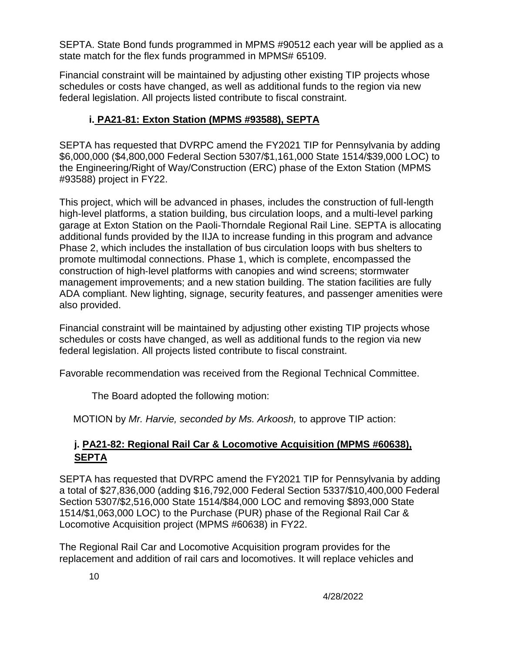SEPTA. State Bond funds programmed in MPMS #90512 each year will be applied as a state match for the flex funds programmed in MPMS# 65109.

Financial constraint will be maintained by adjusting other existing TIP projects whose schedules or costs have changed, as well as additional funds to the region via new federal legislation. All projects listed contribute to fiscal constraint.

# **i. PA21-81: Exton Station (MPMS #93588), SEPTA**

SEPTA has requested that DVRPC amend the FY2021 TIP for Pennsylvania by adding \$6,000,000 (\$4,800,000 Federal Section 5307/\$1,161,000 State 1514/\$39,000 LOC) to the Engineering/Right of Way/Construction (ERC) phase of the Exton Station (MPMS #93588) project in FY22.

This project, which will be advanced in phases, includes the construction of full-length high-level platforms, a station building, bus circulation loops, and a multi-level parking garage at Exton Station on the Paoli‐Thorndale Regional Rail Line. SEPTA is allocating additional funds provided by the IIJA to increase funding in this program and advance Phase 2, which includes the installation of bus circulation loops with bus shelters to promote multimodal connections. Phase 1, which is complete, encompassed the construction of high‐level platforms with canopies and wind screens; stormwater management improvements; and a new station building. The station facilities are fully ADA compliant. New lighting, signage, security features, and passenger amenities were also provided.

Financial constraint will be maintained by adjusting other existing TIP projects whose schedules or costs have changed, as well as additional funds to the region via new federal legislation. All projects listed contribute to fiscal constraint.

Favorable recommendation was received from the Regional Technical Committee.

The Board adopted the following motion:

MOTION by *Mr. Harvie, seconded by Ms. Arkoosh,* to approve TIP action:

# **j. PA21-82: Regional Rail Car & Locomotive Acquisition (MPMS #60638), SEPTA**

SEPTA has requested that DVRPC amend the FY2021 TIP for Pennsylvania by adding a total of \$27,836,000 (adding \$16,792,000 Federal Section 5337/\$10,400,000 Federal Section 5307/\$2,516,000 State 1514/\$84,000 LOC and removing \$893,000 State 1514/\$1,063,000 LOC) to the Purchase (PUR) phase of the Regional Rail Car & Locomotive Acquisition project (MPMS #60638) in FY22.

The Regional Rail Car and Locomotive Acquisition program provides for the replacement and addition of rail cars and locomotives. It will replace vehicles and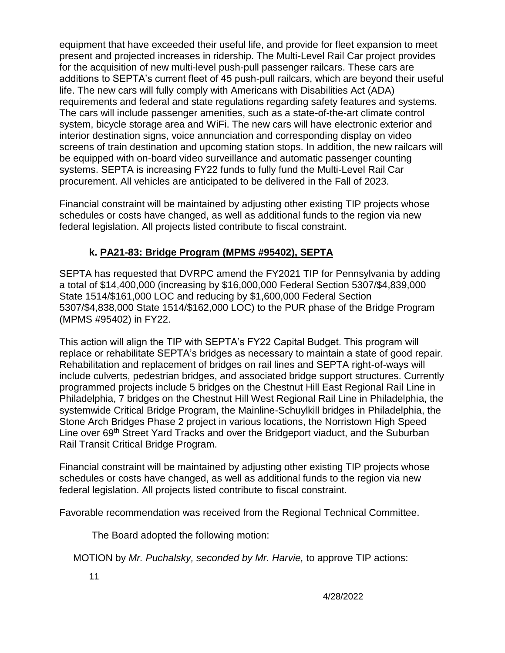equipment that have exceeded their useful life, and provide for fleet expansion to meet present and projected increases in ridership. The Multi-Level Rail Car project provides for the acquisition of new multi-level push-pull passenger railcars. These cars are additions to SEPTA's current fleet of 45 push-pull railcars, which are beyond their useful life. The new cars will fully comply with Americans with Disabilities Act (ADA) requirements and federal and state regulations regarding safety features and systems. The cars will include passenger amenities, such as a state-of-the-art climate control system, bicycle storage area and WiFi. The new cars will have electronic exterior and interior destination signs, voice annunciation and corresponding display on video screens of train destination and upcoming station stops. In addition, the new railcars will be equipped with on-board video surveillance and automatic passenger counting systems. SEPTA is increasing FY22 funds to fully fund the Multi-Level Rail Car procurement. All vehicles are anticipated to be delivered in the Fall of 2023.

Financial constraint will be maintained by adjusting other existing TIP projects whose schedules or costs have changed, as well as additional funds to the region via new federal legislation. All projects listed contribute to fiscal constraint.

## **k. PA21-83: Bridge Program (MPMS #95402), SEPTA**

SEPTA has requested that DVRPC amend the FY2021 TIP for Pennsylvania by adding a total of \$14,400,000 (increasing by \$16,000,000 Federal Section 5307/\$4,839,000 State 1514/\$161,000 LOC and reducing by \$1,600,000 Federal Section 5307/\$4,838,000 State 1514/\$162,000 LOC) to the PUR phase of the Bridge Program (MPMS #95402) in FY22.

This action will align the TIP with SEPTA's FY22 Capital Budget. This program will replace or rehabilitate SEPTA's bridges as necessary to maintain a state of good repair. Rehabilitation and replacement of bridges on rail lines and SEPTA right-of-ways will include culverts, pedestrian bridges, and associated bridge support structures. Currently programmed projects include 5 bridges on the Chestnut Hill East Regional Rail Line in Philadelphia, 7 bridges on the Chestnut Hill West Regional Rail Line in Philadelphia, the systemwide Critical Bridge Program, the Mainline-Schuylkill bridges in Philadelphia, the Stone Arch Bridges Phase 2 project in various locations, the Norristown High Speed Line over 69<sup>th</sup> Street Yard Tracks and over the Bridgeport viaduct, and the Suburban Rail Transit Critical Bridge Program.

Financial constraint will be maintained by adjusting other existing TIP projects whose schedules or costs have changed, as well as additional funds to the region via new federal legislation. All projects listed contribute to fiscal constraint.

Favorable recommendation was received from the Regional Technical Committee.

The Board adopted the following motion:

MOTION by *Mr. Puchalsky, seconded by Mr. Harvie,* to approve TIP actions: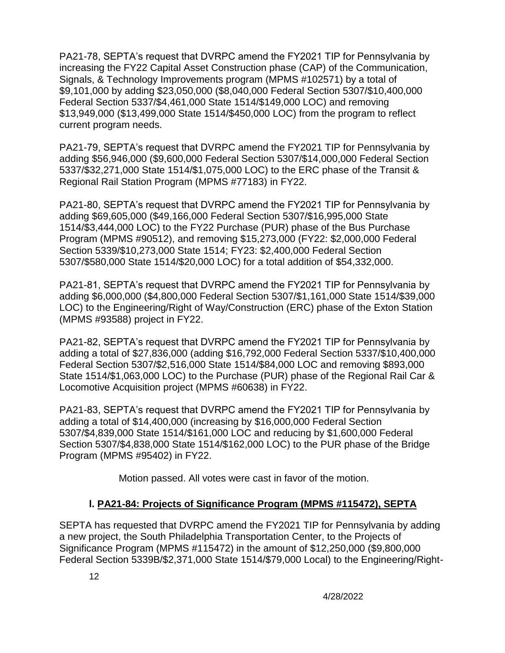PA21-78, SEPTA's request that DVRPC amend the FY2021 TIP for Pennsylvania by increasing the FY22 Capital Asset Construction phase (CAP) of the Communication, Signals, & Technology Improvements program (MPMS #102571) by a total of \$9,101,000 by adding \$23,050,000 (\$8,040,000 Federal Section 5307/\$10,400,000 Federal Section 5337/\$4,461,000 State 1514/\$149,000 LOC) and removing \$13,949,000 (\$13,499,000 State 1514/\$450,000 LOC) from the program to reflect current program needs.

PA21-79, SEPTA's request that DVRPC amend the FY2021 TIP for Pennsylvania by adding \$56,946,000 (\$9,600,000 Federal Section 5307/\$14,000,000 Federal Section 5337/\$32,271,000 State 1514/\$1,075,000 LOC) to the ERC phase of the Transit & Regional Rail Station Program (MPMS #77183) in FY22.

PA21-80, SEPTA's request that DVRPC amend the FY2021 TIP for Pennsylvania by adding \$69,605,000 (\$49,166,000 Federal Section 5307/\$16,995,000 State 1514/\$3,444,000 LOC) to the FY22 Purchase (PUR) phase of the Bus Purchase Program (MPMS #90512), and removing \$15,273,000 (FY22: \$2,000,000 Federal Section 5339/\$10,273,000 State 1514; FY23: \$2,400,000 Federal Section 5307/\$580,000 State 1514/\$20,000 LOC) for a total addition of \$54,332,000.

PA21-81, SEPTA's request that DVRPC amend the FY2021 TIP for Pennsylvania by adding \$6,000,000 (\$4,800,000 Federal Section 5307/\$1,161,000 State 1514/\$39,000 LOC) to the Engineering/Right of Way/Construction (ERC) phase of the Exton Station (MPMS #93588) project in FY22.

PA21-82, SEPTA's request that DVRPC amend the FY2021 TIP for Pennsylvania by adding a total of \$27,836,000 (adding \$16,792,000 Federal Section 5337/\$10,400,000 Federal Section 5307/\$2,516,000 State 1514/\$84,000 LOC and removing \$893,000 State 1514/\$1,063,000 LOC) to the Purchase (PUR) phase of the Regional Rail Car & Locomotive Acquisition project (MPMS #60638) in FY22.

PA21-83, SEPTA's request that DVRPC amend the FY2021 TIP for Pennsylvania by adding a total of \$14,400,000 (increasing by \$16,000,000 Federal Section 5307/\$4,839,000 State 1514/\$161,000 LOC and reducing by \$1,600,000 Federal Section 5307/\$4,838,000 State 1514/\$162,000 LOC) to the PUR phase of the Bridge Program (MPMS #95402) in FY22.

Motion passed. All votes were cast in favor of the motion.

## **l. PA21-84: Projects of Significance Program (MPMS #115472), SEPTA**

SEPTA has requested that DVRPC amend the FY2021 TIP for Pennsylvania by adding a new project, the South Philadelphia Transportation Center, to the Projects of Significance Program (MPMS #115472) in the amount of \$12,250,000 (\$9,800,000 Federal Section 5339B/\$2,371,000 State 1514/\$79,000 Local) to the Engineering/Right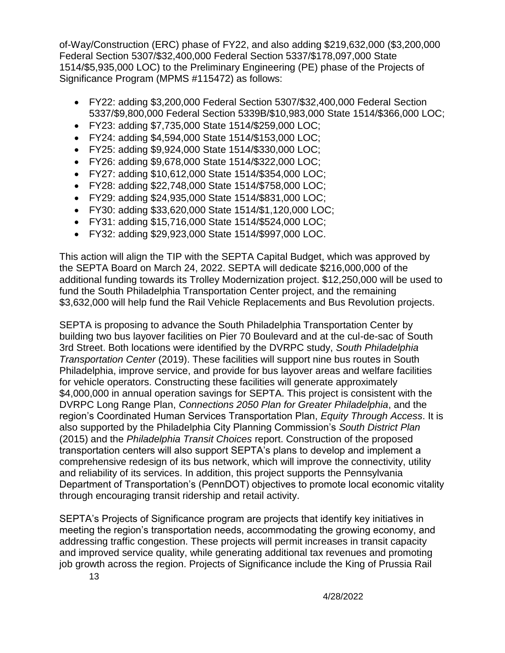of-Way/Construction (ERC) phase of FY22, and also adding \$219,632,000 (\$3,200,000 Federal Section 5307/\$32,400,000 Federal Section 5337/\$178,097,000 State 1514/\$5,935,000 LOC) to the Preliminary Engineering (PE) phase of the Projects of Significance Program (MPMS #115472) as follows:

- FY22: adding \$3,200,000 Federal Section 5307/\$32,400,000 Federal Section 5337/\$9,800,000 Federal Section 5339B/\$10,983,000 State 1514/\$366,000 LOC;
- FY23: adding \$7,735,000 State 1514/\$259,000 LOC;
- FY24: adding \$4,594,000 State 1514/\$153,000 LOC;
- FY25: adding \$9,924,000 State 1514/\$330,000 LOC;
- FY26: adding \$9,678,000 State 1514/\$322,000 LOC;
- FY27: adding \$10,612,000 State 1514/\$354,000 LOC;
- FY28: adding \$22,748,000 State 1514/\$758,000 LOC;
- FY29: adding \$24,935,000 State 1514/\$831,000 LOC;
- FY30: adding \$33,620,000 State 1514/\$1,120,000 LOC;
- FY31: adding \$15,716,000 State 1514/\$524,000 LOC;
- FY32: adding \$29,923,000 State 1514/\$997,000 LOC.

This action will align the TIP with the SEPTA Capital Budget, which was approved by the SEPTA Board on March 24, 2022. SEPTA will dedicate \$216,000,000 of the additional funding towards its Trolley Modernization project. \$12,250,000 will be used to fund the South Philadelphia Transportation Center project, and the remaining \$3,632,000 will help fund the Rail Vehicle Replacements and Bus Revolution projects.

SEPTA is proposing to advance the South Philadelphia Transportation Center by building two bus layover facilities on Pier 70 Boulevard and at the cul-de-sac of South 3rd Street. Both locations were identified by the DVRPC study, *South Philadelphia Transportation Center* (2019). These facilities will support nine bus routes in South Philadelphia, improve service, and provide for bus layover areas and welfare facilities for vehicle operators. Constructing these facilities will generate approximately \$4,000,000 in annual operation savings for SEPTA. This project is consistent with the DVRPC Long Range Plan, *Connections 2050 Plan for Greater Philadelphia*, and the region's Coordinated Human Services Transportation Plan, *Equity Through Access*. It is also supported by the Philadelphia City Planning Commission's *South District Plan* (2015) and the *Philadelphia Transit Choices* report. Construction of the proposed transportation centers will also support SEPTA's plans to develop and implement a comprehensive redesign of its bus network, which will improve the connectivity, utility and reliability of its services. In addition, this project supports the Pennsylvania Department of Transportation's (PennDOT) objectives to promote local economic vitality through encouraging transit ridership and retail activity.

SEPTA's Projects of Significance program are projects that identify key initiatives in meeting the region's transportation needs, accommodating the growing economy, and addressing traffic congestion. These projects will permit increases in transit capacity and improved service quality, while generating additional tax revenues and promoting job growth across the region. Projects of Significance include the King of Prussia Rail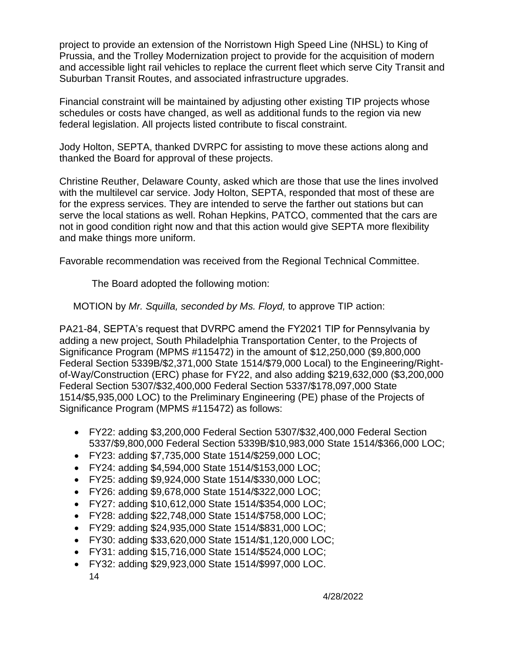project to provide an extension of the Norristown High Speed Line (NHSL) to King of Prussia, and the Trolley Modernization project to provide for the acquisition of modern and accessible light rail vehicles to replace the current fleet which serve City Transit and Suburban Transit Routes, and associated infrastructure upgrades.

Financial constraint will be maintained by adjusting other existing TIP projects whose schedules or costs have changed, as well as additional funds to the region via new federal legislation. All projects listed contribute to fiscal constraint.

Jody Holton, SEPTA, thanked DVRPC for assisting to move these actions along and thanked the Board for approval of these projects.

Christine Reuther, Delaware County, asked which are those that use the lines involved with the multilevel car service. Jody Holton, SEPTA, responded that most of these are for the express services. They are intended to serve the farther out stations but can serve the local stations as well. Rohan Hepkins, PATCO, commented that the cars are not in good condition right now and that this action would give SEPTA more flexibility and make things more uniform.

Favorable recommendation was received from the Regional Technical Committee.

The Board adopted the following motion:

MOTION by *Mr. Squilla, seconded by Ms. Floyd,* to approve TIP action:

PA21-84, SEPTA's request that DVRPC amend the FY2021 TIP for Pennsylvania by adding a new project, South Philadelphia Transportation Center, to the Projects of Significance Program (MPMS #115472) in the amount of \$12,250,000 (\$9,800,000 Federal Section 5339B/\$2,371,000 State 1514/\$79,000 Local) to the Engineering/Rightof-Way/Construction (ERC) phase for FY22, and also adding \$219,632,000 (\$3,200,000 Federal Section 5307/\$32,400,000 Federal Section 5337/\$178,097,000 State 1514/\$5,935,000 LOC) to the Preliminary Engineering (PE) phase of the Projects of Significance Program (MPMS #115472) as follows:

- FY22: adding \$3,200,000 Federal Section 5307/\$32,400,000 Federal Section 5337/\$9,800,000 Federal Section 5339B/\$10,983,000 State 1514/\$366,000 LOC;
- FY23: adding \$7,735,000 State 1514/\$259,000 LOC;
- FY24: adding \$4,594,000 State 1514/\$153,000 LOC;
- FY25: adding \$9,924,000 State 1514/\$330,000 LOC;
- FY26: adding \$9,678,000 State 1514/\$322,000 LOC;
- FY27: adding \$10,612,000 State 1514/\$354,000 LOC;
- FY28: adding \$22,748,000 State 1514/\$758,000 LOC;
- FY29: adding \$24,935,000 State 1514/\$831,000 LOC;
- FY30: adding \$33,620,000 State 1514/\$1,120,000 LOC;
- FY31: adding \$15,716,000 State 1514/\$524,000 LOC;
- FY32: adding \$29,923,000 State 1514/\$997,000 LOC.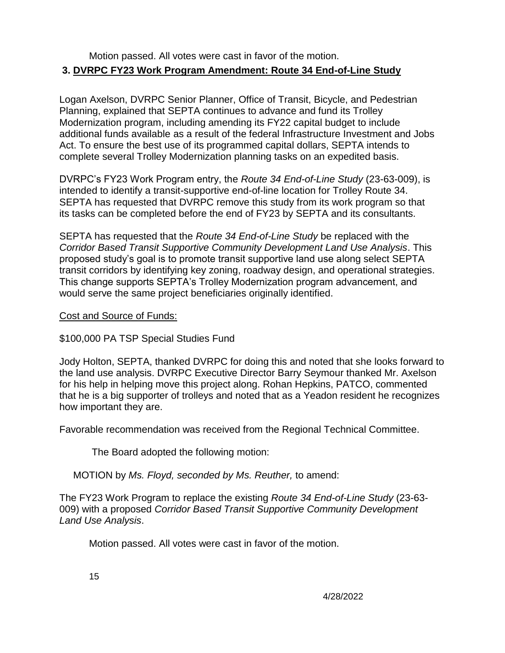#### Motion passed. All votes were cast in favor of the motion. **3. DVRPC FY23 Work Program Amendment: Route 34 End-of-Line Study**

Logan Axelson, DVRPC Senior Planner, Office of Transit, Bicycle, and Pedestrian Planning, explained that SEPTA continues to advance and fund its Trolley Modernization program, including amending its FY22 capital budget to include additional funds available as a result of the federal Infrastructure Investment and Jobs Act. To ensure the best use of its programmed capital dollars, SEPTA intends to complete several Trolley Modernization planning tasks on an expedited basis.

DVRPC's FY23 Work Program entry, the *Route 34 End-of-Line Study* (23-63-009), is intended to identify a transit-supportive end-of-line location for Trolley Route 34. SEPTA has requested that DVRPC remove this study from its work program so that its tasks can be completed before the end of FY23 by SEPTA and its consultants.

SEPTA has requested that the *Route 34 End-of-Line Study* be replaced with the *Corridor Based Transit Supportive Community Development Land Use Analysis*. This proposed study's goal is to promote transit supportive land use along select SEPTA transit corridors by identifying key zoning, roadway design, and operational strategies. This change supports SEPTA's Trolley Modernization program advancement, and would serve the same project beneficiaries originally identified.

#### Cost and Source of Funds:

## \$100,000 PA TSP Special Studies Fund

Jody Holton, SEPTA, thanked DVRPC for doing this and noted that she looks forward to the land use analysis. DVRPC Executive Director Barry Seymour thanked Mr. Axelson for his help in helping move this project along. Rohan Hepkins, PATCO, commented that he is a big supporter of trolleys and noted that as a Yeadon resident he recognizes how important they are.

Favorable recommendation was received from the Regional Technical Committee.

The Board adopted the following motion:

MOTION by *Ms. Floyd, seconded by Ms. Reuther,* to amend:

The FY23 Work Program to replace the existing *Route 34 End-of-Line Study* (23-63- 009) with a proposed *Corridor Based Transit Supportive Community Development Land Use Analysis*.

Motion passed. All votes were cast in favor of the motion.

15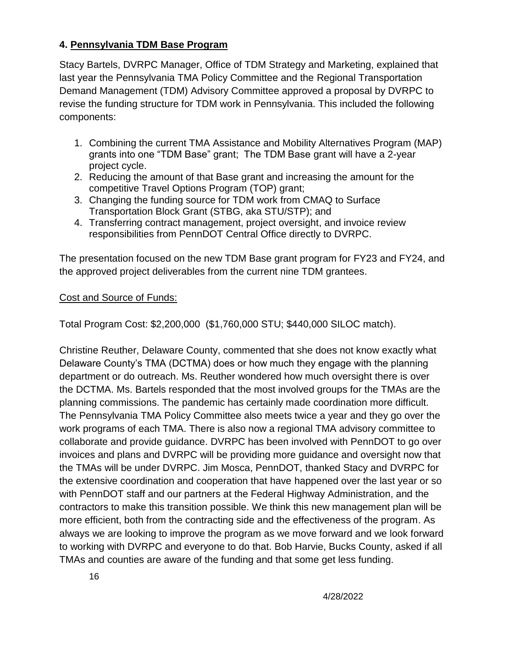## **4. Pennsylvania TDM Base Program**

Stacy Bartels, DVRPC Manager, Office of TDM Strategy and Marketing, explained that last year the Pennsylvania TMA Policy Committee and the Regional Transportation Demand Management (TDM) Advisory Committee approved a proposal by DVRPC to revise the funding structure for TDM work in Pennsylvania. This included the following components:

- 1. Combining the current TMA Assistance and Mobility Alternatives Program (MAP) grants into one "TDM Base" grant; The TDM Base grant will have a 2-year project cycle.
- 2. Reducing the amount of that Base grant and increasing the amount for the competitive Travel Options Program (TOP) grant;
- 3. Changing the funding source for TDM work from CMAQ to Surface Transportation Block Grant (STBG, aka STU/STP); and
- 4. Transferring contract management, project oversight, and invoice review responsibilities from PennDOT Central Office directly to DVRPC.

The presentation focused on the new TDM Base grant program for FY23 and FY24, and the approved project deliverables from the current nine TDM grantees.

#### Cost and Source of Funds:

Total Program Cost: \$2,200,000 (\$1,760,000 STU; \$440,000 SILOC match).

Christine Reuther, Delaware County, commented that she does not know exactly what Delaware County's TMA (DCTMA) does or how much they engage with the planning department or do outreach. Ms. Reuther wondered how much oversight there is over the DCTMA. Ms. Bartels responded that the most involved groups for the TMAs are the planning commissions. The pandemic has certainly made coordination more difficult. The Pennsylvania TMA Policy Committee also meets twice a year and they go over the work programs of each TMA. There is also now a regional TMA advisory committee to collaborate and provide guidance. DVRPC has been involved with PennDOT to go over invoices and plans and DVRPC will be providing more guidance and oversight now that the TMAs will be under DVRPC. Jim Mosca, PennDOT, thanked Stacy and DVRPC for the extensive coordination and cooperation that have happened over the last year or so with PennDOT staff and our partners at the Federal Highway Administration, and the contractors to make this transition possible. We think this new management plan will be more efficient, both from the contracting side and the effectiveness of the program. As always we are looking to improve the program as we move forward and we look forward to working with DVRPC and everyone to do that. Bob Harvie, Bucks County, asked if all TMAs and counties are aware of the funding and that some get less funding.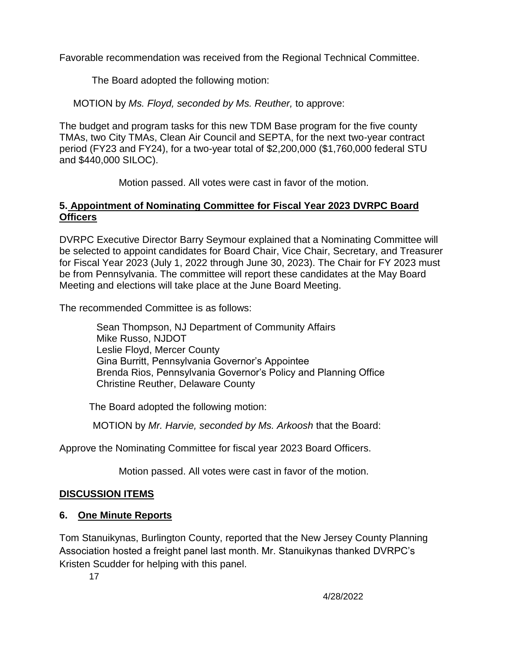Favorable recommendation was received from the Regional Technical Committee.

The Board adopted the following motion:

MOTION by *Ms. Floyd, seconded by Ms. Reuther,* to approve:

The budget and program tasks for this new TDM Base program for the five county TMAs, two City TMAs, Clean Air Council and SEPTA, for the next two-year contract period (FY23 and FY24), for a two-year total of \$2,200,000 (\$1,760,000 federal STU and \$440,000 SILOC).

Motion passed. All votes were cast in favor of the motion.

#### **5. Appointment of Nominating Committee for Fiscal Year 2023 DVRPC Board Officers**

DVRPC Executive Director Barry Seymour explained that a Nominating Committee will be selected to appoint candidates for Board Chair, Vice Chair, Secretary, and Treasurer for Fiscal Year 2023 (July 1, 2022 through June 30, 2023). The Chair for FY 2023 must be from Pennsylvania. The committee will report these candidates at the May Board Meeting and elections will take place at the June Board Meeting.

The recommended Committee is as follows:

Sean Thompson, NJ Department of Community Affairs Mike Russo, NJDOT Leslie Floyd, Mercer County Gina Burritt, Pennsylvania Governor's Appointee Brenda Rios, Pennsylvania Governor's Policy and Planning Office Christine Reuther, Delaware County

The Board adopted the following motion:

MOTION by *Mr. Harvie, seconded by Ms. Arkoosh* that the Board:

Approve the Nominating Committee for fiscal year 2023 Board Officers.

Motion passed. All votes were cast in favor of the motion.

# **DISCUSSION ITEMS**

# **6. One Minute Reports**

Tom Stanuikynas, Burlington County, reported that the New Jersey County Planning Association hosted a freight panel last month. Mr. Stanuikynas thanked DVRPC's Kristen Scudder for helping with this panel.

17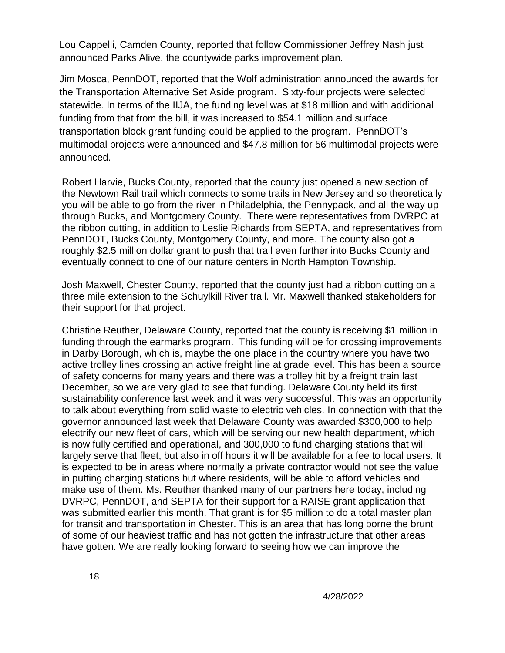Lou Cappelli, Camden County, reported that follow Commissioner Jeffrey Nash just announced Parks Alive, the countywide parks improvement plan.

Jim Mosca, PennDOT, reported that the Wolf administration announced the awards for the Transportation Alternative Set Aside program. Sixty-four projects were selected statewide. In terms of the IIJA, the funding level was at \$18 million and with additional funding from that from the bill, it was increased to \$54.1 million and surface transportation block grant funding could be applied to the program. PennDOT's multimodal projects were announced and \$47.8 million for 56 multimodal projects were announced.

Robert Harvie, Bucks County, reported that the county just opened a new section of the Newtown Rail trail which connects to some trails in New Jersey and so theoretically you will be able to go from the river in Philadelphia, the Pennypack, and all the way up through Bucks, and Montgomery County. There were representatives from DVRPC at the ribbon cutting, in addition to Leslie Richards from SEPTA, and representatives from PennDOT, Bucks County, Montgomery County, and more. The county also got a roughly \$2.5 million dollar grant to push that trail even further into Bucks County and eventually connect to one of our nature centers in North Hampton Township.

Josh Maxwell, Chester County, reported that the county just had a ribbon cutting on a three mile extension to the Schuylkill River trail. Mr. Maxwell thanked stakeholders for their support for that project.

Christine Reuther, Delaware County, reported that the county is receiving \$1 million in funding through the earmarks program. This funding will be for crossing improvements in Darby Borough, which is, maybe the one place in the country where you have two active trolley lines crossing an active freight line at grade level. This has been a source of safety concerns for many years and there was a trolley hit by a freight train last December, so we are very glad to see that funding. Delaware County held its first sustainability conference last week and it was very successful. This was an opportunity to talk about everything from solid waste to electric vehicles. In connection with that the governor announced last week that Delaware County was awarded \$300,000 to help electrify our new fleet of cars, which will be serving our new health department, which is now fully certified and operational, and 300,000 to fund charging stations that will largely serve that fleet, but also in off hours it will be available for a fee to local users. It is expected to be in areas where normally a private contractor would not see the value in putting charging stations but where residents, will be able to afford vehicles and make use of them. Ms. Reuther thanked many of our partners here today, including DVRPC, PennDOT, and SEPTA for their support for a RAISE grant application that was submitted earlier this month. That grant is for \$5 million to do a total master plan for transit and transportation in Chester. This is an area that has long borne the brunt of some of our heaviest traffic and has not gotten the infrastructure that other areas have gotten. We are really looking forward to seeing how we can improve the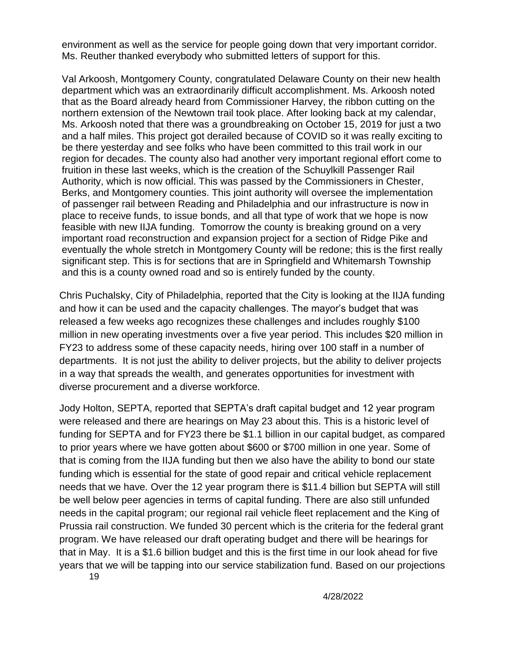environment as well as the service for people going down that very important corridor. Ms. Reuther thanked everybody who submitted letters of support for this.

Val Arkoosh, Montgomery County, congratulated Delaware County on their new health department which was an extraordinarily difficult accomplishment. Ms. Arkoosh noted that as the Board already heard from Commissioner Harvey, the ribbon cutting on the northern extension of the Newtown trail took place. After looking back at my calendar, Ms. Arkoosh noted that there was a groundbreaking on October 15, 2019 for just a two and a half miles. This project got derailed because of COVID so it was really exciting to be there yesterday and see folks who have been committed to this trail work in our region for decades. The county also had another very important regional effort come to fruition in these last weeks, which is the creation of the Schuylkill Passenger Rail Authority, which is now official. This was passed by the Commissioners in Chester, Berks, and Montgomery counties. This joint authority will oversee the implementation of passenger rail between Reading and Philadelphia and our infrastructure is now in place to receive funds, to issue bonds, and all that type of work that we hope is now feasible with new IIJA funding. Tomorrow the county is breaking ground on a very important road reconstruction and expansion project for a section of Ridge Pike and eventually the whole stretch in Montgomery County will be redone; this is the first really significant step. This is for sections that are in Springfield and Whitemarsh Township and this is a county owned road and so is entirely funded by the county.

Chris Puchalsky, City of Philadelphia, reported that the City is looking at the IIJA funding and how it can be used and the capacity challenges. The mayor's budget that was released a few weeks ago recognizes these challenges and includes roughly \$100 million in new operating investments over a five year period. This includes \$20 million in FY23 to address some of these capacity needs, hiring over 100 staff in a number of departments. It is not just the ability to deliver projects, but the ability to deliver projects in a way that spreads the wealth, and generates opportunities for investment with diverse procurement and a diverse workforce.

Jody Holton, SEPTA, reported that SEPTA's draft capital budget and 12 year program were released and there are hearings on May 23 about this. This is a historic level of funding for SEPTA and for FY23 there be \$1.1 billion in our capital budget, as compared to prior years where we have gotten about \$600 or \$700 million in one year. Some of that is coming from the IIJA funding but then we also have the ability to bond our state funding which is essential for the state of good repair and critical vehicle replacement needs that we have. Over the 12 year program there is \$11.4 billion but SEPTA will still be well below peer agencies in terms of capital funding. There are also still unfunded needs in the capital program; our regional rail vehicle fleet replacement and the King of Prussia rail construction. We funded 30 percent which is the criteria for the federal grant program. We have released our draft operating budget and there will be hearings for that in May. It is a \$1.6 billion budget and this is the first time in our look ahead for five years that we will be tapping into our service stabilization fund. Based on our projections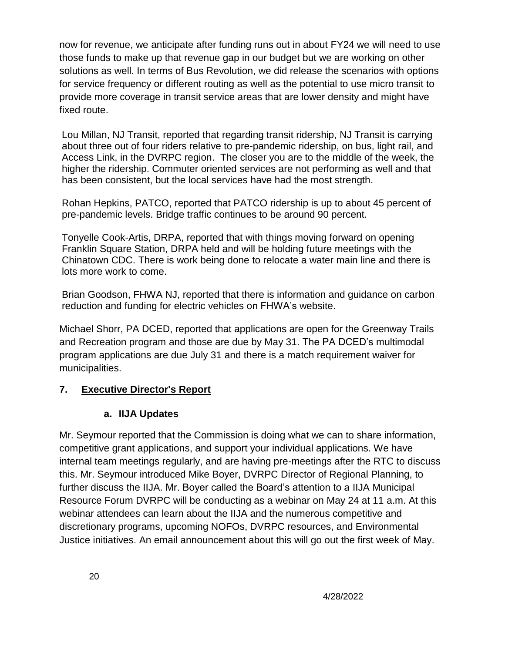now for revenue, we anticipate after funding runs out in about FY24 we will need to use those funds to make up that revenue gap in our budget but we are working on other solutions as well. In terms of Bus Revolution, we did release the scenarios with options for service frequency or different routing as well as the potential to use micro transit to provide more coverage in transit service areas that are lower density and might have fixed route.

Lou Millan, NJ Transit, reported that regarding transit ridership, NJ Transit is carrying about three out of four riders relative to pre-pandemic ridership, on bus, light rail, and Access Link, in the DVRPC region. The closer you are to the middle of the week, the higher the ridership. Commuter oriented services are not performing as well and that has been consistent, but the local services have had the most strength.

Rohan Hepkins, PATCO, reported that PATCO ridership is up to about 45 percent of pre-pandemic levels. Bridge traffic continues to be around 90 percent.

Tonyelle Cook-Artis, DRPA, reported that with things moving forward on opening Franklin Square Station, DRPA held and will be holding future meetings with the Chinatown CDC. There is work being done to relocate a water main line and there is lots more work to come.

Brian Goodson, FHWA NJ, reported that there is information and guidance on carbon reduction and funding for electric vehicles on FHWA's website.

Michael Shorr, PA DCED, reported that applications are open for the Greenway Trails and Recreation program and those are due by May 31. The PA DCED's multimodal program applications are due July 31 and there is a match requirement waiver for municipalities.

## **7. Executive Director's Report**

#### **a. IIJA Updates**

Mr. Seymour reported that the Commission is doing what we can to share information, competitive grant applications, and support your individual applications. We have internal team meetings regularly, and are having pre-meetings after the RTC to discuss this. Mr. Seymour introduced Mike Boyer, DVRPC Director of Regional Planning, to further discuss the IIJA. Mr. Boyer called the Board's attention to a IIJA Municipal Resource Forum DVRPC will be conducting as a webinar on May 24 at 11 a.m. At this webinar attendees can learn about the IIJA and the numerous competitive and discretionary programs, upcoming NOFOs, DVRPC resources, and Environmental Justice initiatives. An email announcement about this will go out the first week of May.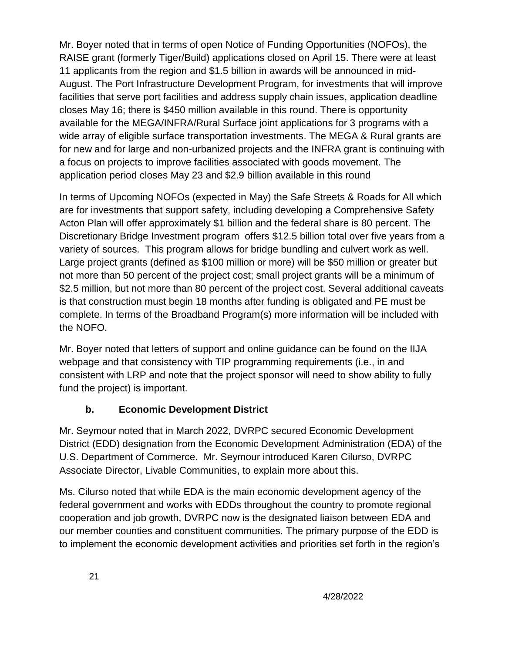Mr. Boyer noted that in terms of open Notice of Funding Opportunities (NOFOs), the RAISE grant (formerly Tiger/Build) applications closed on April 15. There were at least 11 applicants from the region and \$1.5 billion in awards will be announced in mid-August. The Port Infrastructure Development Program, for investments that will improve facilities that serve port facilities and address supply chain issues, application deadline closes May 16; there is \$450 million available in this round. There is opportunity available for the MEGA/INFRA/Rural Surface joint applications for 3 programs with a wide array of eligible surface transportation investments. The MEGA & Rural grants are for new and for large and non-urbanized projects and the INFRA grant is continuing with a focus on projects to improve facilities associated with goods movement. The application period closes May 23 and \$2.9 billion available in this round

In terms of Upcoming NOFOs (expected in May) the Safe Streets & Roads for All which are for investments that support safety, including developing a Comprehensive Safety Acton Plan will offer approximately \$1 billion and the federal share is 80 percent. The Discretionary Bridge Investment program offers \$12.5 billion total over five years from a variety of sources. This program allows for bridge bundling and culvert work as well. Large project grants (defined as \$100 million or more) will be \$50 million or greater but not more than 50 percent of the project cost; small project grants will be a minimum of \$2.5 million, but not more than 80 percent of the project cost. Several additional caveats is that construction must begin 18 months after funding is obligated and PE must be complete. In terms of the Broadband Program(s) more information will be included with the NOFO.

Mr. Boyer noted that letters of support and online guidance can be found on the IIJA webpage and that consistency with TIP programming requirements (i.e., in and consistent with LRP and note that the project sponsor will need to show ability to fully fund the project) is important.

# **b. Economic Development District**

Mr. Seymour noted that in March 2022, DVRPC secured Economic Development District (EDD) designation from the Economic Development Administration (EDA) of the U.S. Department of Commerce. Mr. Seymour introduced Karen Cilurso, DVRPC Associate Director, Livable Communities, to explain more about this.

Ms. Cilurso noted that while EDA is the main economic development agency of the federal government and works with EDDs throughout the country to promote regional cooperation and job growth, DVRPC now is the designated liaison between EDA and our member counties and constituent communities. The primary purpose of the EDD is to implement the economic development activities and priorities set forth in the region's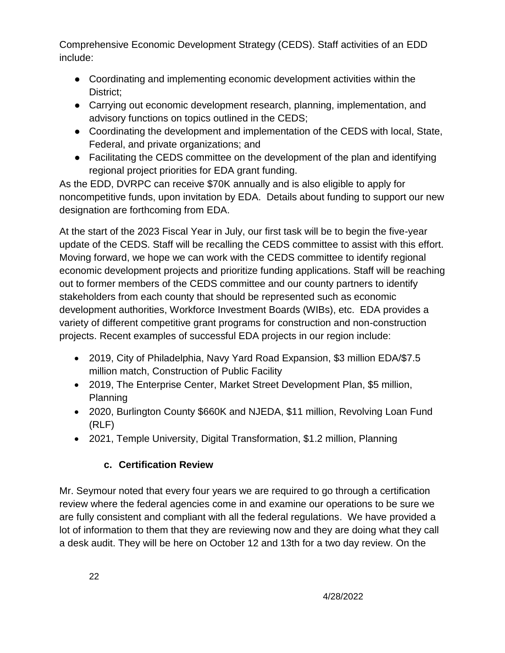Comprehensive Economic Development Strategy (CEDS). Staff activities of an EDD include:

- Coordinating and implementing economic development activities within the District;
- Carrying out economic development research, planning, implementation, and advisory functions on topics outlined in the CEDS;
- Coordinating the development and implementation of the CEDS with local, State, Federal, and private organizations; and
- Facilitating the CEDS committee on the development of the plan and identifying regional project priorities for EDA grant funding.

As the EDD, DVRPC can receive \$70K annually and is also eligible to apply for noncompetitive funds, upon invitation by EDA. Details about funding to support our new designation are forthcoming from EDA.

At the start of the 2023 Fiscal Year in July, our first task will be to begin the five-year update of the CEDS. Staff will be recalling the CEDS committee to assist with this effort. Moving forward, we hope we can work with the CEDS committee to identify regional economic development projects and prioritize funding applications. Staff will be reaching out to former members of the CEDS committee and our county partners to identify stakeholders from each county that should be represented such as economic development authorities, Workforce Investment Boards (WIBs), etc. EDA provides a variety of different competitive grant programs for construction and non-construction projects. Recent examples of successful EDA projects in our region include:

- 2019, City of Philadelphia, Navy Yard Road Expansion, \$3 million EDA/\$7.5 million match, Construction of Public Facility
- 2019, The Enterprise Center, Market Street Development Plan, \$5 million, Planning
- 2020, Burlington County \$660K and NJEDA, \$11 million, Revolving Loan Fund (RLF)
- 2021, Temple University, Digital Transformation, \$1.2 million, Planning

# **c. Certification Review**

Mr. Seymour noted that every four years we are required to go through a certification review where the federal agencies come in and examine our operations to be sure we are fully consistent and compliant with all the federal regulations. We have provided a lot of information to them that they are reviewing now and they are doing what they call a desk audit. They will be here on October 12 and 13th for a two day review. On the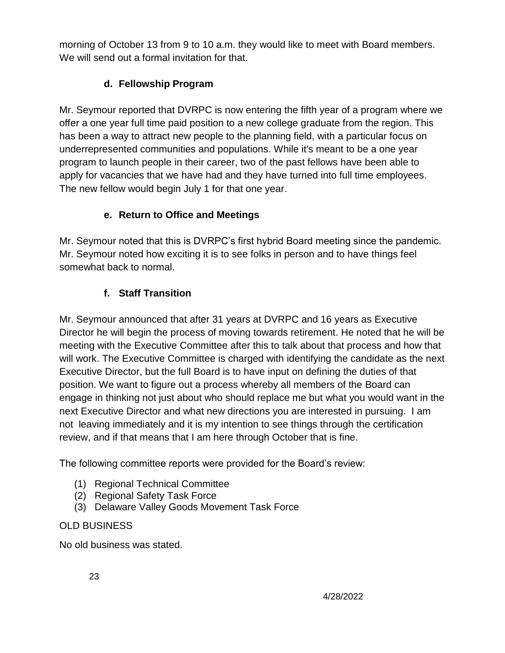morning of October 13 from 9 to 10 a.m. they would like to meet with Board members. We will send out a formal invitation for that.

# **d. Fellowship Program**

Mr. Seymour reported that DVRPC is now entering the fifth year of a program where we offer a one year full time paid position to a new college graduate from the region. This has been a way to attract new people to the planning field, with a particular focus on underrepresented communities and populations. While it's meant to be a one year program to launch people in their career, two of the past fellows have been able to apply for vacancies that we have had and they have turned into full time employees. The new fellow would begin July 1 for that one year.

# **e. Return to Office and Meetings**

Mr. Seymour noted that this is DVRPC's first hybrid Board meeting since the pandemic. Mr. Seymour noted how exciting it is to see folks in person and to have things feel somewhat back to normal.

# **f. Staff Transition**

Mr. Seymour announced that after 31 years at DVRPC and 16 years as Executive Director he will begin the process of moving towards retirement. He noted that he will be meeting with the Executive Committee after this to talk about that process and how that will work. The Executive Committee is charged with identifying the candidate as the next Executive Director, but the full Board is to have input on defining the duties of that position. We want to figure out a process whereby all members of the Board can engage in thinking not just about who should replace me but what you would want in the next Executive Director and what new directions you are interested in pursuing. I am not leaving immediately and it is my intention to see things through the certification review, and if that means that I am here through October that is fine.

The following committee reports were provided for the Board's review:

- (1) Regional Technical Committee
- (2) Regional Safety Task Force
- (3) Delaware Valley Goods Movement Task Force

## OLD BUSINESS

No old business was stated.